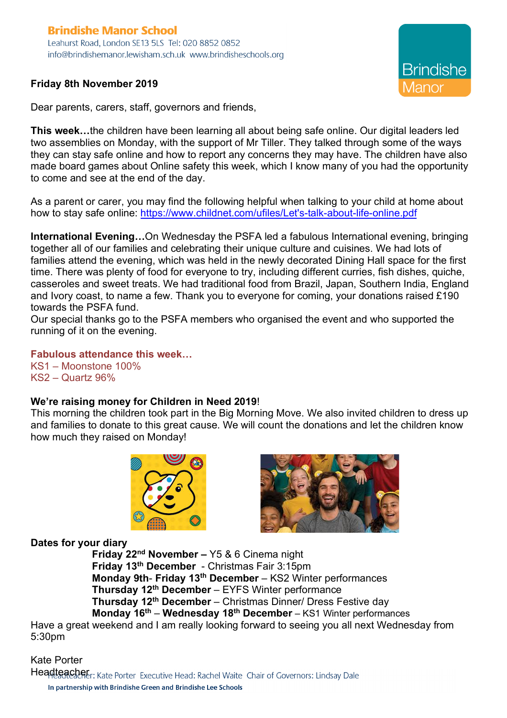## **Brindishe Manor School** Leahurst Road, London SE13 5LS Tel: 020 8852 0852 info@brindishemanor.lewisham.sch.uk www.brindisheschools.org

## **Friday 8th November 2019**

Dear parents, carers, staff, governors and friends,

**This week…**the children have been learning all about being safe online. Our digital leaders led two assemblies on Monday, with the support of Mr Tiller. They talked through some of the ways they can stay safe online and how to report any concerns they may have. The children have also made board games about Online safety this week, which I know many of you had the opportunity to come and see at the end of the day.

As a parent or carer, you may find the following helpful when talking to your child at home about how to stay safe online: https://www.childnet.com/ufiles/Let's-talk-about-life-online.pdf

**International Evening…**On Wednesday the PSFA led a fabulous International evening, bringing together all of our families and celebrating their unique culture and cuisines. We had lots of families attend the evening, which was held in the newly decorated Dining Hall space for the first time. There was plenty of food for everyone to try, including different curries, fish dishes, quiche, casseroles and sweet treats. We had traditional food from Brazil, Japan, Southern India, England and Ivory coast, to name a few. Thank you to everyone for coming, your donations raised £190 towards the PSFA fund.

Our special thanks go to the PSFA members who organised the event and who supported the running of it on the evening.

**Fabulous attendance this week…**

KS1 – Moonstone 100% KS2 – Quartz 96%

## **We're raising money for Children in Need 2019**!

This morning the children took part in the Big Morning Move. We also invited children to dress up and families to donate to this great cause. We will count the donations and let the children know how much they raised on Monday!





**Brindishe** 

## **Dates for your diary**

**Friday 22nd November –** Y5 & 6 Cinema night **Friday 13th December** - Christmas Fair 3:15pm **Monday 9th**- **Friday 13th December** – KS2 Winter performances **Thursday 12th December** – EYFS Winter performance **Thursday 12th December** – Christmas Dinner/ Dress Festive day **Monday 16th** – **Wednesday 18th December** – KS1 Winter performances

Have a great weekend and I am really looking forward to seeing you all next Wednesday from 5:30pm

Kate Porter

Headtsachet: Kate Porter Executive Head: Rachel Waite Chair of Governors: Lindsay Dale In partnership with Brindishe Green and Brindishe Lee Schools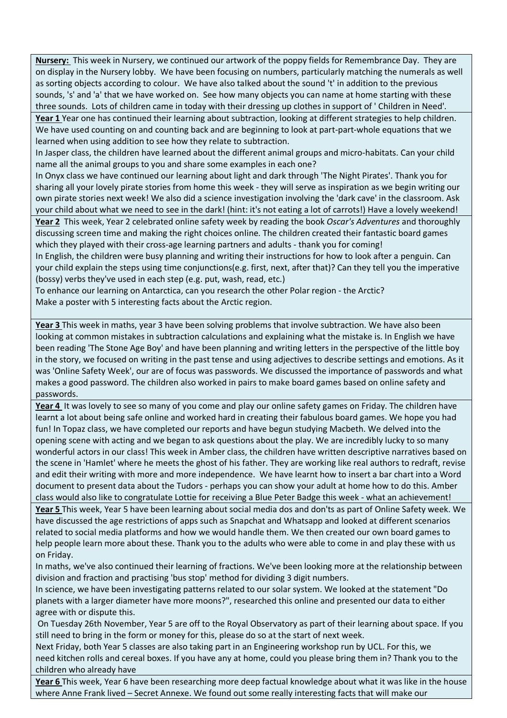**Nursery:** This week in Nursery, we continued our artwork of the poppy fields for Remembrance Day. They are on display in the Nursery lobby. We have been focusing on numbers, particularly matching the numerals as well as sorting objects according to colour. We have also talked about the sound 't' in addition to the previous sounds, 's' and 'a' that we have worked on. See how many objects you can name at home starting with these three sounds. Lots of children came in today with their dressing up clothes in support of ' Children in Need'.

**Year 1** Year one has continued their learning about subtraction, looking at different strategies to help children. We have used counting on and counting back and are beginning to look at part-part-whole equations that we learned when using addition to see how they relate to subtraction.

In Jasper class, the children have learned about the different animal groups and micro-habitats. Can your child name all the animal groups to you and share some examples in each one?

In Onyx class we have continued our learning about light and dark through 'The Night Pirates'. Thank you for sharing all your lovely pirate stories from home this week - they will serve as inspiration as we begin writing our own pirate stories next week! We also did a science investigation involving the 'dark cave' in the classroom. Ask your child about what we need to see in the dark! (hint: it's not eating a lot of carrots!) Have a lovely weekend! **Year 2** This week, Year 2 celebrated online safety week by reading the book *Oscar's Adventures* and thoroughly discussing screen time and making the right choices online. The children created their fantastic board games

which they played with their cross-age learning partners and adults - thank you for coming!

In English, the children were busy planning and writing their instructions for how to look after a penguin. Can your child explain the steps using time conjunctions(e.g. first, next, after that)? Can they tell you the imperative (bossy) verbs they've used in each step (e.g. put, wash, read, etc.)

To enhance our learning on Antarctica, can you research the other Polar region - the Arctic? Make a poster with 5 interesting facts about the Arctic region.

**Year 3** This week in maths, year 3 have been solving problems that involve subtraction. We have also been looking at common mistakes in subtraction calculations and explaining what the mistake is. In English we have been reading 'The Stone Age Boy' and have been planning and writing letters in the perspective of the little boy in the story, we focused on writing in the past tense and using adjectives to describe settings and emotions. As it was 'Online Safety Week', our are of focus was passwords. We discussed the importance of passwords and what makes a good password. The children also worked in pairs to make board games based on online safety and passwords.

**Year 4** It was lovely to see so many of you come and play our online safety games on Friday. The children have learnt a lot about being safe online and worked hard in creating their fabulous board games. We hope you had fun! In Topaz class, we have completed our reports and have begun studying Macbeth. We delved into the opening scene with acting and we began to ask questions about the play. We are incredibly lucky to so many wonderful actors in our class! This week in Amber class, the children have written descriptive narratives based on the scene in 'Hamlet' where he meets the ghost of his father. They are working like real authors to redraft, revise and edit their writing with more and more independence. We have learnt how to insert a bar chart into a Word document to present data about the Tudors - perhaps you can show your adult at home how to do this. Amber class would also like to congratulate Lottie for receiving a Blue Peter Badge this week - what an achievement!

**Year 5** This week, Year 5 have been learning about social media dos and don'ts as part of Online Safety week. We have discussed the age restrictions of apps such as Snapchat and Whatsapp and looked at different scenarios related to social media platforms and how we would handle them. We then created our own board games to help people learn more about these. Thank you to the adults who were able to come in and play these with us on Friday.

In maths, we've also continued their learning of fractions. We've been looking more at the relationship between division and fraction and practising 'bus stop' method for dividing 3 digit numbers.

In science, we have been investigating patterns related to our solar system. We looked at the statement "Do planets with a larger diameter have more moons?", researched this online and presented our data to either agree with or dispute this.

On Tuesday 26th November, Year 5 are off to the Royal Observatory as part of their learning about space. If you still need to bring in the form or money for this, please do so at the start of next week.

Next Friday, both Year 5 classes are also taking part in an Engineering workshop run by UCL. For this, we need kitchen rolls and cereal boxes. If you have any at home, could you please bring them in? Thank you to the children who already have

**Year 6** This week, Year 6 have been researching more deep factual knowledge about what it was like in the house where Anne Frank lived – Secret Annexe. We found out some really interesting facts that will make our